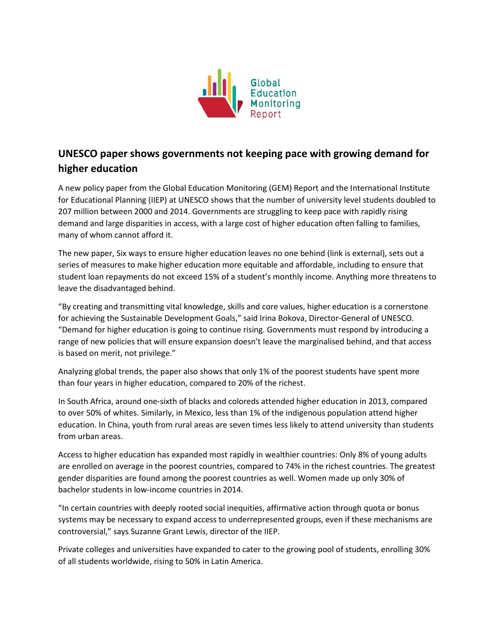

## **UNESCO paper shows governments not keeping pace with growing demand for higher education**

A new policy paper from the Global Education Monitoring (GEM) Report and the International Institute for Educational Planning (IIEP) at UNESCO shows that the number of university level students doubled to 207 million between 2000 and 2014. Governments are struggling to keep pace with rapidly rising demand and large disparities in access, with a large cost of higher education often falling to families, many of whom cannot afford it.

The new paper, Six ways to ensure higher education leaves no one behind (link is external), sets out a series of measures to make higher education more equitable and affordable, including to ensure that student loan repayments do not exceed 15% of a student's monthly income. Anything more threatens to leave the disadvantaged behind.

"By creating and transmitting vital knowledge, skills and core values, higher education is a cornerstone for achieving the Sustainable Development Goals," said Irina Bokova, Director-General of UNESCO. "Demand for higher education is going to continue rising. Governments must respond by introducing a range of new policies that will ensure expansion doesn't leave the marginalised behind, and that access is based on merit, not privilege."

Analyzing global trends, the paper also shows that only 1% of the poorest students have spent more than four years in higher education, compared to 20% of the richest.

In South Africa, around one-sixth of blacks and coloreds attended higher education in 2013, compared to over 50% of whites. Similarly, in Mexico, less than 1% of the indigenous population attend higher education. In China, youth from rural areas are seven times less likely to attend university than students from urban areas.

Access to higher education has expanded most rapidly in wealthier countries: Only 8% of young adults are enrolled on average in the poorest countries, compared to 74% in the richest countries. The greatest gender disparities are found among the poorest countries as well. Women made up only 30% of bachelor students in low-income countries in 2014.

"In certain countries with deeply rooted social inequities, affirmative action through quota or bonus systems may be necessary to expand access to underrepresented groups, even if these mechanisms are controversial," says Suzanne Grant Lewis, director of the IIEP.

Private colleges and universities have expanded to cater to the growing pool of students, enrolling 30% of all students worldwide, rising to 50% in Latin America.